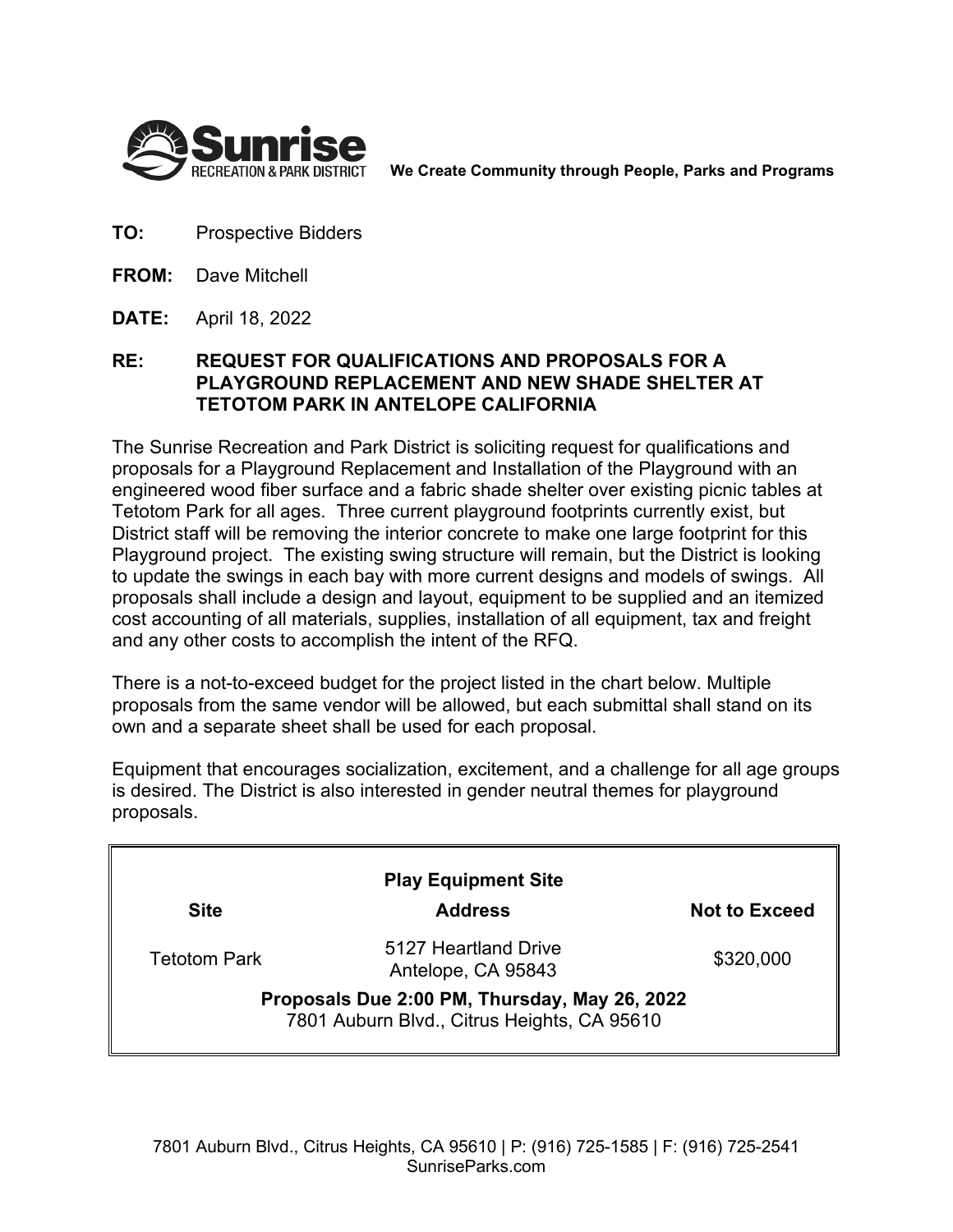

**We Create Community through People, Parks and Programs**

- **TO:** Prospective Bidders
- **FROM:** Dave Mitchell
- **DATE:** April 18, 2022

## **RE: REQUEST FOR QUALIFICATIONS AND PROPOSALS FOR A PLAYGROUND REPLACEMENT AND NEW SHADE SHELTER AT TETOTOM PARK IN ANTELOPE CALIFORNIA**

The Sunrise Recreation and Park District is soliciting request for qualifications and proposals for a Playground Replacement and Installation of the Playground with an engineered wood fiber surface and a fabric shade shelter over existing picnic tables at Tetotom Park for all ages. Three current playground footprints currently exist, but District staff will be removing the interior concrete to make one large footprint for this Playground project. The existing swing structure will remain, but the District is looking to update the swings in each bay with more current designs and models of swings. All proposals shall include a design and layout, equipment to be supplied and an itemized cost accounting of all materials, supplies, installation of all equipment, tax and freight and any other costs to accomplish the intent of the RFQ.

There is a not-to-exceed budget for the project listed in the chart below. Multiple proposals from the same vendor will be allowed, but each submittal shall stand on its own and a separate sheet shall be used for each proposal.

Equipment that encourages socialization, excitement, and a challenge for all age groups is desired. The District is also interested in gender neutral themes for playground proposals.

| <b>Play Equipment Site</b>                                                                   |                                            |                      |
|----------------------------------------------------------------------------------------------|--------------------------------------------|----------------------|
| <b>Site</b>                                                                                  | <b>Address</b>                             | <b>Not to Exceed</b> |
| <b>Tetotom Park</b>                                                                          | 5127 Heartland Drive<br>Antelope, CA 95843 | \$320,000            |
| Proposals Due 2:00 PM, Thursday, May 26, 2022<br>7801 Auburn Blvd., Citrus Heights, CA 95610 |                                            |                      |
|                                                                                              |                                            |                      |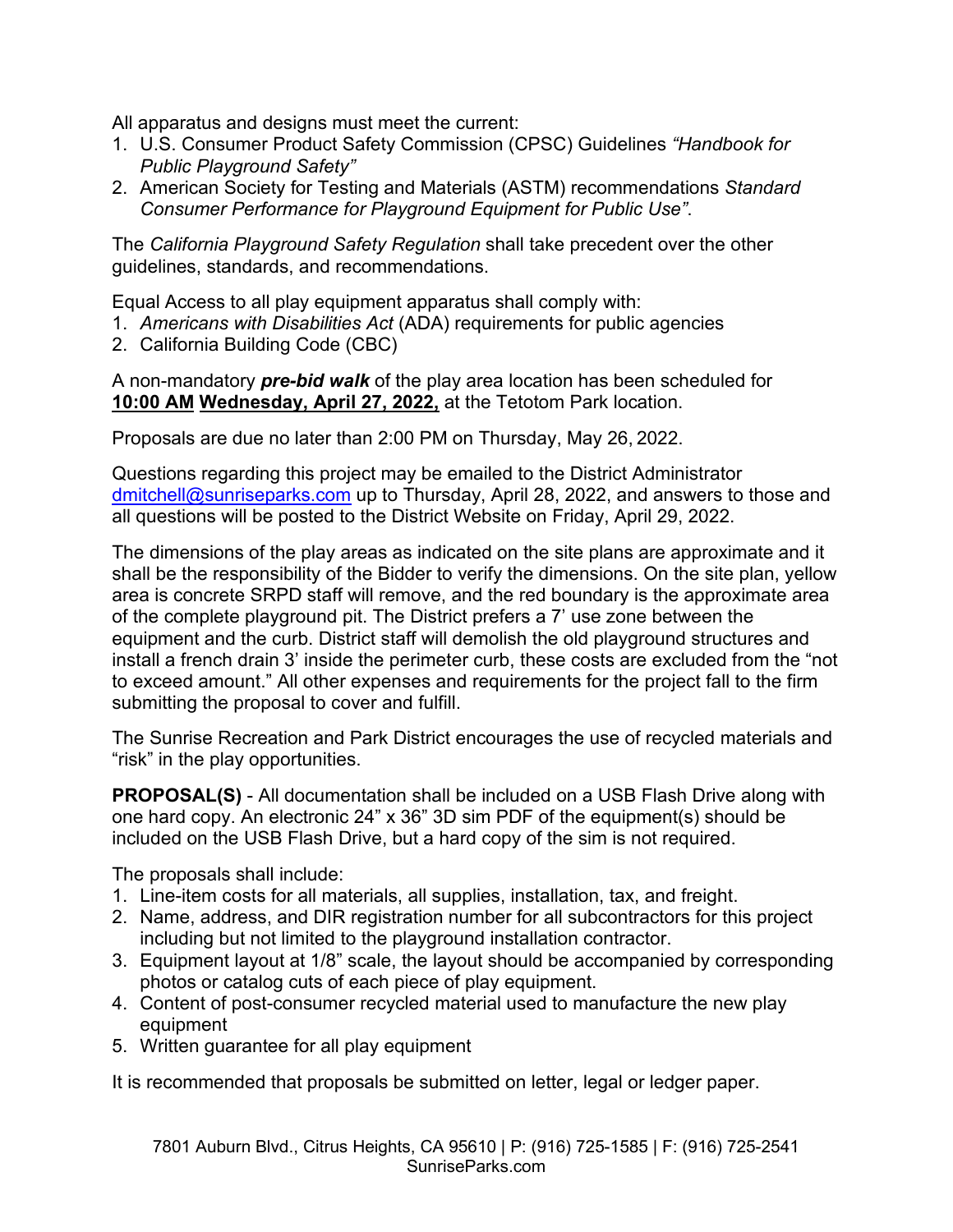All apparatus and designs must meet the current:

- 1. U.S. Consumer Product Safety Commission (CPSC) Guidelines *"Handbook for Public Playground Safety"*
- 2. American Society for Testing and Materials (ASTM) recommendations *Standard Consumer Performance for Playground Equipment for Public Use"*.

The *California Playground Safety Regulation* shall take precedent over the other guidelines, standards, and recommendations.

Equal Access to all play equipment apparatus shall comply with:

- 1. *Americans with Disabilities Act* (ADA) requirements for public agencies
- 2. California Building Code (CBC)

A non-mandatory *pre-bid walk* of the play area location has been scheduled for **10:00 AM Wednesday, April 27, 2022,** at the Tetotom Park location.

Proposals are due no later than 2:00 PM on Thursday, May 26, 2022.

Questions regarding this project may be emailed to the District Administrator dmitchell@sunriseparks.com up to Thursday, April 28, 2022, and answers to those and all questions will be posted to the District Website on Friday, April 29, 2022.

The dimensions of the play areas as indicated on the site plans are approximate and it shall be the responsibility of the Bidder to verify the dimensions. On the site plan, yellow area is concrete SRPD staff will remove, and the red boundary is the approximate area of the complete playground pit. The District prefers a 7' use zone between the equipment and the curb. District staff will demolish the old playground structures and install a french drain 3' inside the perimeter curb, these costs are excluded from the "not to exceed amount." All other expenses and requirements for the project fall to the firm submitting the proposal to cover and fulfill.

The Sunrise Recreation and Park District encourages the use of recycled materials and "risk" in the play opportunities.

**PROPOSAL(S)** - All documentation shall be included on a USB Flash Drive along with one hard copy. An electronic 24" x 36" 3D sim PDF of the equipment(s) should be included on the USB Flash Drive, but a hard copy of the sim is not required.

The proposals shall include:

- 1. Line-item costs for all materials, all supplies, installation, tax, and freight.
- 2. Name, address, and DIR registration number for all subcontractors for this project including but not limited to the playground installation contractor.
- 3. Equipment layout at 1/8" scale, the layout should be accompanied by corresponding photos or catalog cuts of each piece of play equipment.
- 4. Content of post-consumer recycled material used to manufacture the new play equipment
- 5. Written guarantee for all play equipment

It is recommended that proposals be submitted on letter, legal or ledger paper.